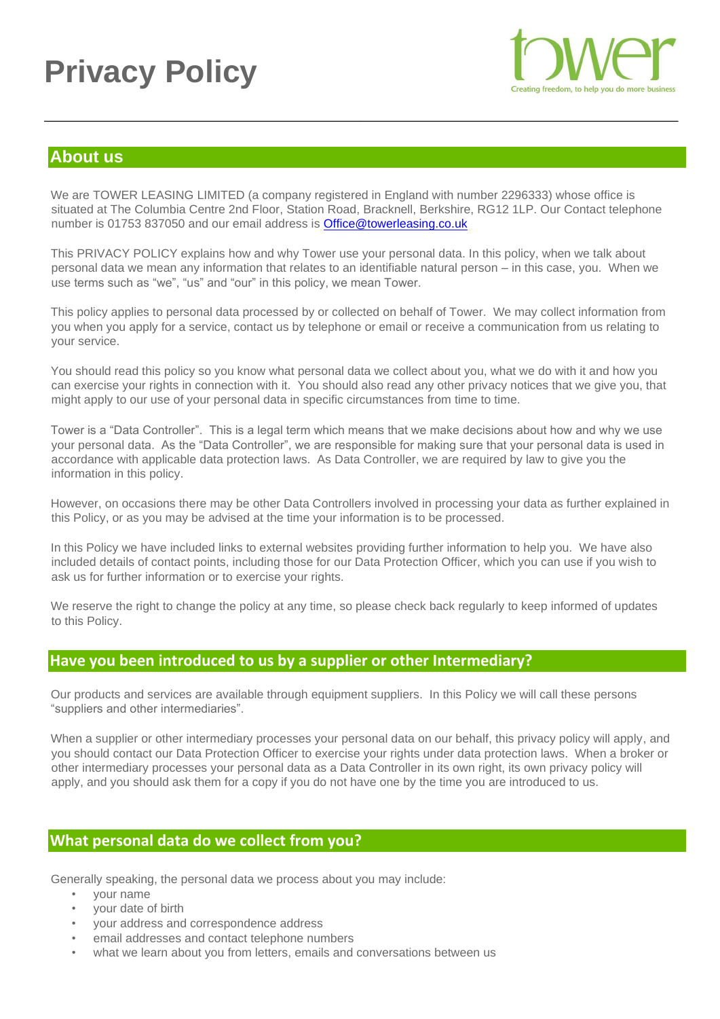# **Privacy Policy**



## **About us**

We are TOWER LEASING LIMITED (a company registered in England with number 2296333) whose office is situated at The Columbia Centre 2nd Floor, Station Road, Bracknell, Berkshire, RG12 1LP. Our Contact telephone number is 01753 837050 and our email address is Office@towerleasing.co.uk

This PRIVACY POLICY explains how and why Tower use your personal data. In this policy, when we talk about personal data we mean any information that relates to an identifiable natural person – in this case, you. When we use terms such as "we", "us" and "our" in this policy, we mean Tower.

This policy applies to personal data processed by or collected on behalf of Tower. We may collect information from you when you apply for a service, contact us by telephone or email or receive a communication from us relating to your service.

You should read this policy so you know what personal data we collect about you, what we do with it and how you can exercise your rights in connection with it. You should also read any other privacy notices that we give you, that might apply to our use of your personal data in specific circumstances from time to time.

Tower is a "Data Controller". This is a legal term which means that we make decisions about how and why we use your personal data. As the "Data Controller", we are responsible for making sure that your personal data is used in accordance with applicable data protection laws. As Data Controller, we are required by law to give you the information in this policy.

However, on occasions there may be other Data Controllers involved in processing your data as further explained in this Policy, or as you may be advised at the time your information is to be processed.

In this Policy we have included links to external websites providing further information to help you. We have also included details of contact points, including those for our Data Protection Officer, which you can use if you wish to ask us for further information or to exercise your rights.

We reserve the right to change the policy at any time, so please check back regularly to keep informed of updates to this Policy.

## **Have you been introduced to us by a supplier or other Intermediary?**

Our products and services are available through equipment suppliers. In this Policy we will call these persons "suppliers and other intermediaries".

When a supplier or other intermediary processes your personal data on our behalf, this privacy policy will apply, and you should contact our Data Protection Officer to exercise your rights under data protection laws. When a broker or other intermediary processes your personal data as a Data Controller in its own right, its own privacy policy will apply, and you should ask them for a copy if you do not have one by the time you are introduced to us.

## **What personal data do we collect from you?**

Generally speaking, the personal data we process about you may include:

- your name
- your date of birth
- your address and correspondence address
- email addresses and contact telephone numbers
- what we learn about you from letters, emails and conversations between us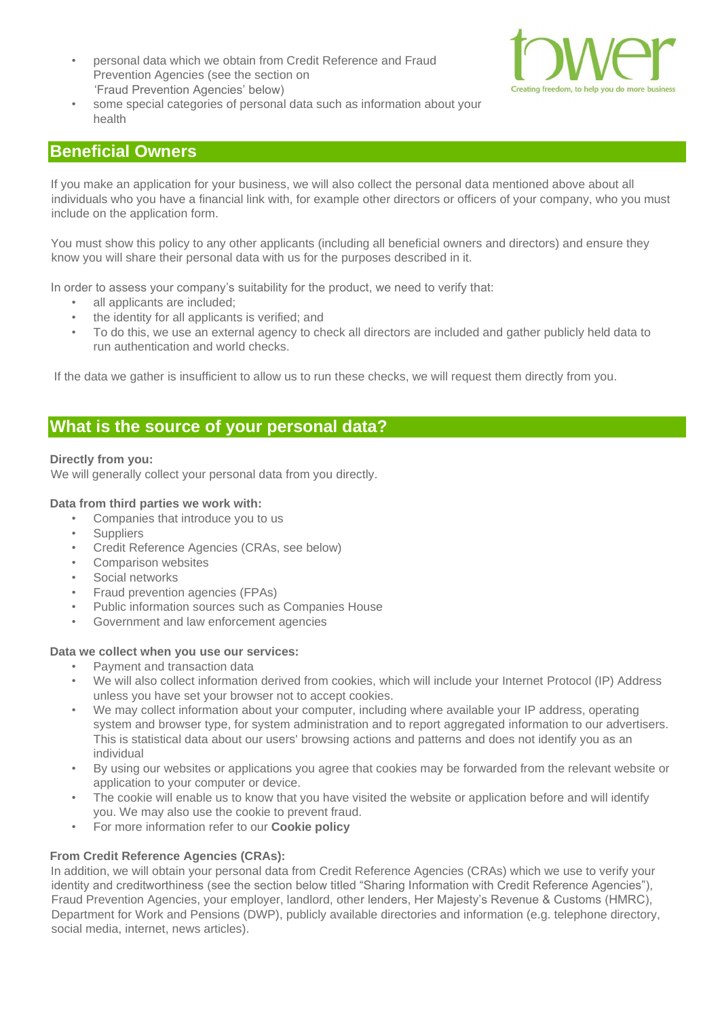• personal data which we obtain from Credit Reference and Fraud Prevention Agencies (see the section on 'Fraud Prevention Agencies' below)



• some special categories of personal data such as information about your health

## **Beneficial Owners**

If you make an application for your business, we will also collect the personal data mentioned above about all individuals who you have a financial link with, for example other directors or officers of your company, who you must include on the application form.

You must show this policy to any other applicants (including all beneficial owners and directors) and ensure they know you will share their personal data with us for the purposes described in it.

In order to assess your company's suitability for the product, we need to verify that:

- all applicants are included;
- the identity for all applicants is verified; and
- To do this, we use an external agency to check all directors are included and gather publicly held data to run authentication and world checks.

If the data we gather is insufficient to allow us to run these checks, we will request them directly from you.

## **What is the source of your personal data?**

## **Directly from you:**

We will generally collect your personal data from you directly.

#### **Data from third parties we work with:**

- Companies that introduce you to us
- Suppliers
- Credit Reference Agencies (CRAs, see below)
- Comparison websites
- Social networks
- Fraud prevention agencies (FPAs)
- Public information sources such as Companies House
- Government and law enforcement agencies

#### **Data we collect when you use our services:**

- Payment and transaction data
- We will also collect information derived from cookies, which will include your Internet Protocol (IP) Address unless you have set your browser not to accept cookies.
- We may collect information about your computer, including where available your IP address, operating system and browser type, for system administration and to report aggregated information to our advertisers. This is statistical data about our users' browsing actions and patterns and does not identify you as an individual
- By using our websites or applications you agree that cookies may be forwarded from the relevant website or application to your computer or device.
- The cookie will enable us to know that you have visited the website or application before and will identify you. We may also use the cookie to prevent fraud.
- For more information refer to our **[Cookie policy](http://www.towerleasing.co.uk/cookie-policy/)**

## **From Credit Reference Agencies (CRAs):**

In addition, we will obtain your personal data from Credit Reference Agencies (CRAs) which we use to verify your identity and creditworthiness (see the section below titled "Sharing Information with Credit Reference Agencies"), Fraud Prevention Agencies, your employer, landlord, other lenders, Her Majesty's Revenue & Customs (HMRC), Department for Work and Pensions (DWP), publicly available directories and information (e.g. telephone directory, social media, internet, news articles).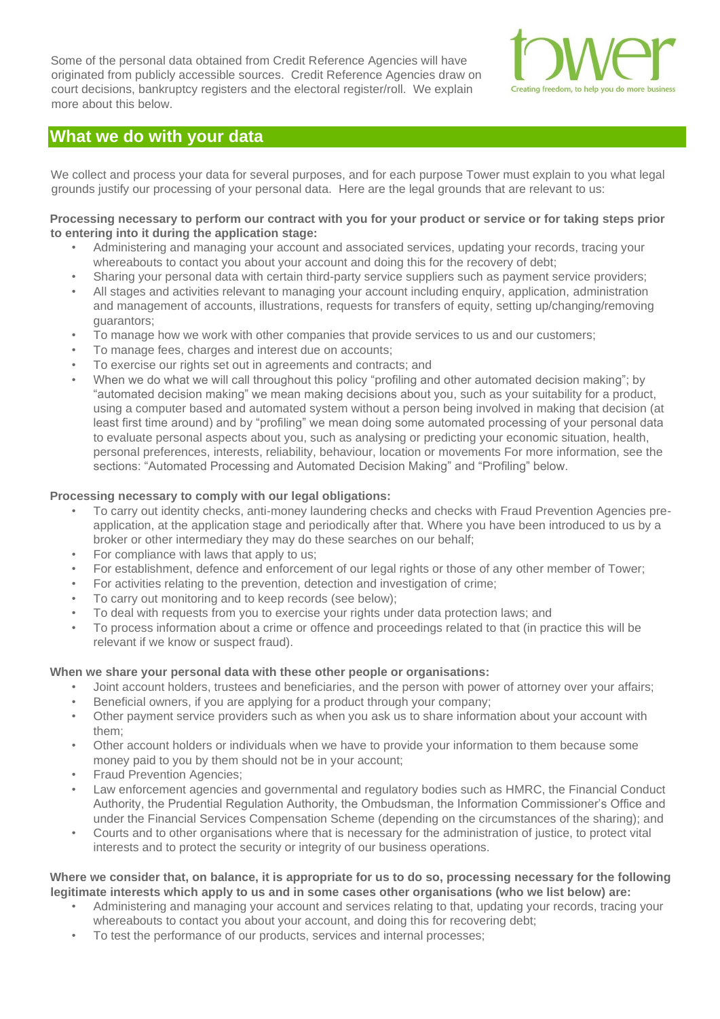Some of the personal data obtained from Credit Reference Agencies will have originated from publicly accessible sources. Credit Reference Agencies draw on court decisions, bankruptcy registers and the electoral register/roll. We explain more about this below.



## **What we do with your data**

We collect and process your data for several purposes, and for each purpose Tower must explain to you what legal grounds justify our processing of your personal data. Here are the legal grounds that are relevant to us:

## **Processing necessary to perform our contract with you for your product or service or for taking steps prior to entering into it during the application stage:**

- Administering and managing your account and associated services, updating your records, tracing your whereabouts to contact you about your account and doing this for the recovery of debt;
- Sharing your personal data with certain third-party service suppliers such as payment service providers;
- All stages and activities relevant to managing your account including enquiry, application, administration and management of accounts, illustrations, requests for transfers of equity, setting up/changing/removing guarantors;
- To manage how we work with other companies that provide services to us and our customers;
- To manage fees, charges and interest due on accounts;
- To exercise our rights set out in agreements and contracts; and
- When we do what we will call throughout this policy "profiling and other automated decision making"; by "automated decision making" we mean making decisions about you, such as your suitability for a product, using a computer based and automated system without a person being involved in making that decision (at least first time around) and by "profiling" we mean doing some automated processing of your personal data to evaluate personal aspects about you, such as analysing or predicting your economic situation, health, personal preferences, interests, reliability, behaviour, location or movements For more information, see the sections: "Automated Processing and Automated Decision Making" and "Profiling" below.

#### **Processing necessary to comply with our legal obligations:**

- To carry out identity checks, anti-money laundering checks and checks with Fraud Prevention Agencies preapplication, at the application stage and periodically after that. Where you have been introduced to us by a broker or other intermediary they may do these searches on our behalf;
- For compliance with laws that apply to us;
- For establishment, defence and enforcement of our legal rights or those of any other member of Tower;
- For activities relating to the prevention, detection and investigation of crime;
- To carry out monitoring and to keep records (see below);
- To deal with requests from you to exercise your rights under data protection laws; and
- To process information about a crime or offence and proceedings related to that (in practice this will be relevant if we know or suspect fraud).

#### **When we share your personal data with these other people or organisations:**

- Joint account holders, trustees and beneficiaries, and the person with power of attorney over your affairs;
- Beneficial owners, if you are applying for a product through your company;
- Other payment service providers such as when you ask us to share information about your account with them;
- Other account holders or individuals when we have to provide your information to them because some money paid to you by them should not be in your account;
- Fraud Prevention Agencies;
- Law enforcement agencies and governmental and regulatory bodies such as HMRC, the Financial Conduct Authority, the Prudential Regulation Authority, the Ombudsman, the Information Commissioner's Office and under the Financial Services Compensation Scheme (depending on the circumstances of the sharing); and
- Courts and to other organisations where that is necessary for the administration of justice, to protect vital interests and to protect the security or integrity of our business operations.

#### **Where we consider that, on balance, it is appropriate for us to do so, processing necessary for the following legitimate interests which apply to us and in some cases other organisations (who we list below) are:**

- Administering and managing your account and services relating to that, updating your records, tracing your whereabouts to contact you about your account, and doing this for recovering debt;
- To test the performance of our products, services and internal processes;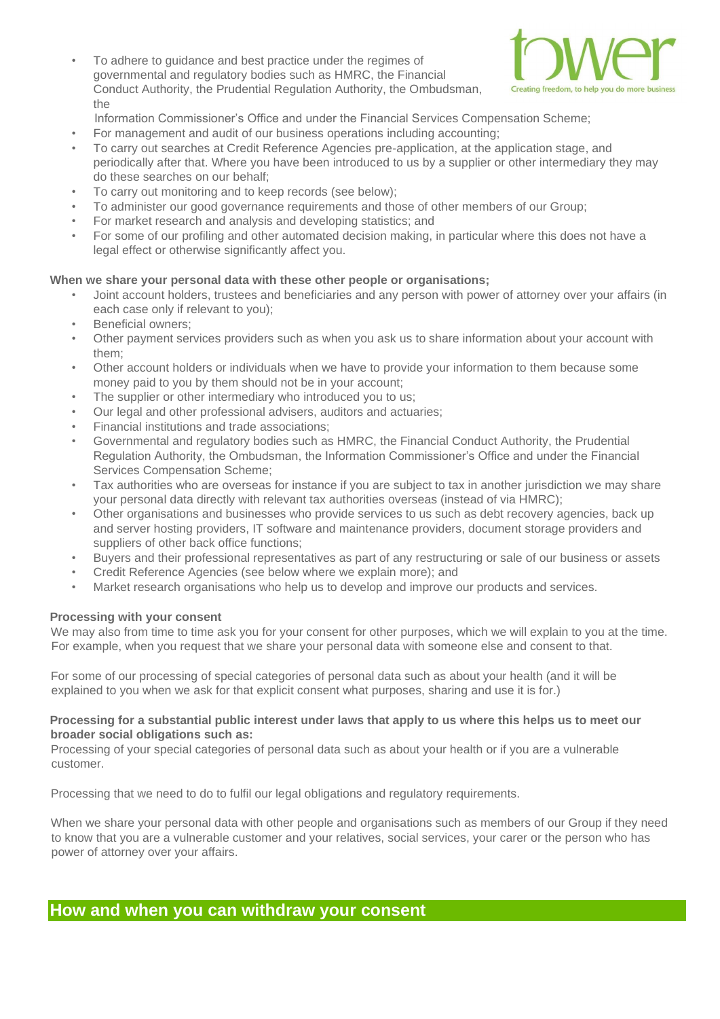• To adhere to guidance and best practice under the regimes of governmental and regulatory bodies such as HMRC, the Financial Conduct Authority, the Prudential Regulation Authority, the Ombudsman, the



Information Commissioner's Office and under the Financial Services Compensation Scheme;

- For management and audit of our business operations including accounting;
- To carry out searches at Credit Reference Agencies pre-application, at the application stage, and periodically after that. Where you have been introduced to us by a supplier or other intermediary they may do these searches on our behalf;
- To carry out monitoring and to keep records (see below);
- To administer our good governance requirements and those of other members of our Group;
- For market research and analysis and developing statistics; and
- For some of our profiling and other automated decision making, in particular where this does not have a legal effect or otherwise significantly affect you.

#### **When we share your personal data with these other people or organisations;**

- Joint account holders, trustees and beneficiaries and any person with power of attorney over your affairs (in each case only if relevant to you);
- Beneficial owners;
- Other payment services providers such as when you ask us to share information about your account with them;
- Other account holders or individuals when we have to provide your information to them because some money paid to you by them should not be in your account;
- The supplier or other intermediary who introduced you to us;
- Our legal and other professional advisers, auditors and actuaries;
- Financial institutions and trade associations;
- Governmental and regulatory bodies such as HMRC, the Financial Conduct Authority, the Prudential Regulation Authority, the Ombudsman, the Information Commissioner's Office and under the Financial Services Compensation Scheme;
- Tax authorities who are overseas for instance if you are subject to tax in another jurisdiction we may share your personal data directly with relevant tax authorities overseas (instead of via HMRC);
- Other organisations and businesses who provide services to us such as debt recovery agencies, back up and server hosting providers, IT software and maintenance providers, document storage providers and suppliers of other back office functions;
- Buyers and their professional representatives as part of any restructuring or sale of our business or assets
- Credit Reference Agencies (see below where we explain more); and
- Market research organisations who help us to develop and improve our products and services.

#### **Processing with your consent**

We may also from time to time ask you for your consent for other purposes, which we will explain to you at the time. For example, when you request that we share your personal data with someone else and consent to that.

For some of our processing of special categories of personal data such as about your health (and it will be explained to you when we ask for that explicit consent what purposes, sharing and use it is for.)

#### **Processing for a substantial public interest under laws that apply to us where this helps us to meet our broader social obligations such as:**

Processing of your special categories of personal data such as about your health or if you are a vulnerable customer.

Processing that we need to do to fulfil our legal obligations and regulatory requirements.

When we share your personal data with other people and organisations such as members of our Group if they need to know that you are a vulnerable customer and your relatives, social services, your carer or the person who has power of attorney over your affairs.

## **How and when you can withdraw your consent**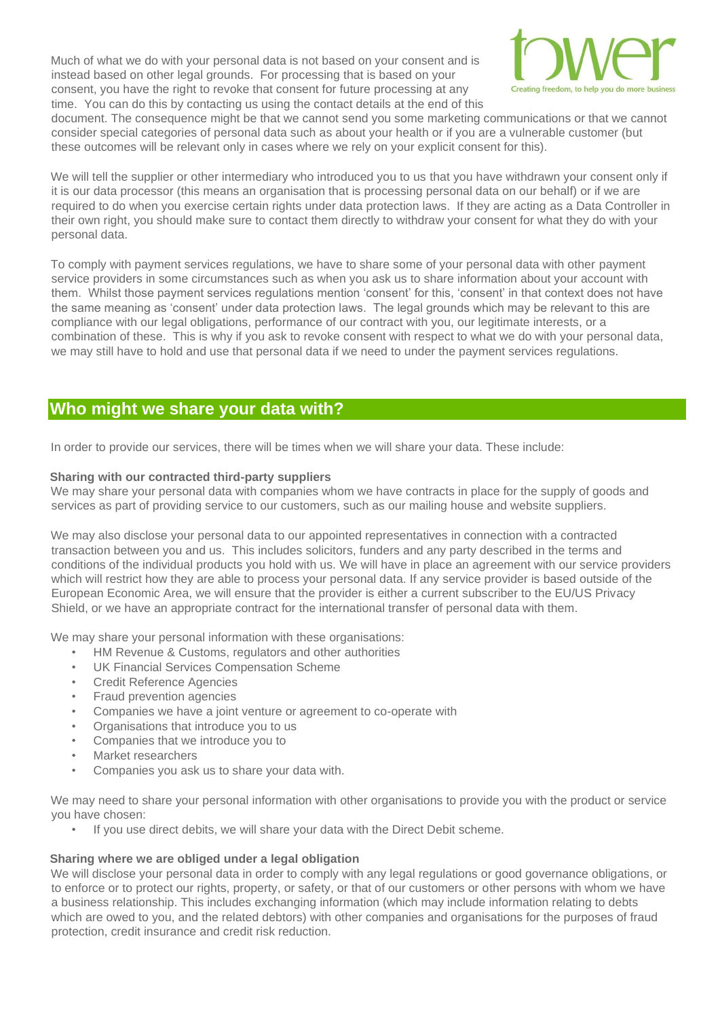Much of what we do with your personal data is not based on your consent and is instead based on other legal grounds. For processing that is based on your consent, you have the right to revoke that consent for future processing at any time. You can do this by contacting us using the contact details at the end of this



document. The consequence might be that we cannot send you some marketing communications or that we cannot consider special categories of personal data such as about your health or if you are a vulnerable customer (but these outcomes will be relevant only in cases where we rely on your explicit consent for this).

We will tell the supplier or other intermediary who introduced you to us that you have withdrawn your consent only if it is our data processor (this means an organisation that is processing personal data on our behalf) or if we are required to do when you exercise certain rights under data protection laws. If they are acting as a Data Controller in their own right, you should make sure to contact them directly to withdraw your consent for what they do with your personal data.

To comply with payment services regulations, we have to share some of your personal data with other payment service providers in some circumstances such as when you ask us to share information about your account with them. Whilst those payment services regulations mention 'consent' for this, 'consent' in that context does not have the same meaning as 'consent' under data protection laws. The legal grounds which may be relevant to this are compliance with our legal obligations, performance of our contract with you, our legitimate interests, or a combination of these. This is why if you ask to revoke consent with respect to what we do with your personal data, we may still have to hold and use that personal data if we need to under the payment services regulations.

## **Who might we share your data with?**

In order to provide our services, there will be times when we will share your data. These include:

## **Sharing with our contracted third-party suppliers**

We may share your personal data with companies whom we have contracts in place for the supply of goods and services as part of providing service to our customers, such as our mailing house and website suppliers.

We may also disclose your personal data to our appointed representatives in connection with a contracted transaction between you and us. This includes solicitors, funders and any party described in the terms and conditions of the individual products you hold with us. We will have in place an agreement with our service providers which will restrict how they are able to process your personal data. If any service provider is based outside of the European Economic Area, we will ensure that the provider is either a current subscriber to the EU/US Privacy Shield, or we have an appropriate contract for the international transfer of personal data with them.

We may share your personal information with these organisations:

- HM Revenue & Customs, regulators and other authorities
- UK Financial Services Compensation Scheme
- Credit Reference Agencies
- Fraud prevention agencies
- Companies we have a joint venture or agreement to co-operate with
- Organisations that introduce you to us
- Companies that we introduce you to
- Market researchers
- Companies you ask us to share your data with.

We may need to share your personal information with other organisations to provide you with the product or service you have chosen:

If you use direct debits, we will share your data with the Direct Debit scheme.

## **Sharing where we are obliged under a legal obligation**

We will disclose your personal data in order to comply with any legal regulations or good governance obligations, or to enforce or to protect our rights, property, or safety, or that of our customers or other persons with whom we have a business relationship. This includes exchanging information (which may include information relating to debts which are owed to you, and the related debtors) with other companies and organisations for the purposes of fraud protection, credit insurance and credit risk reduction.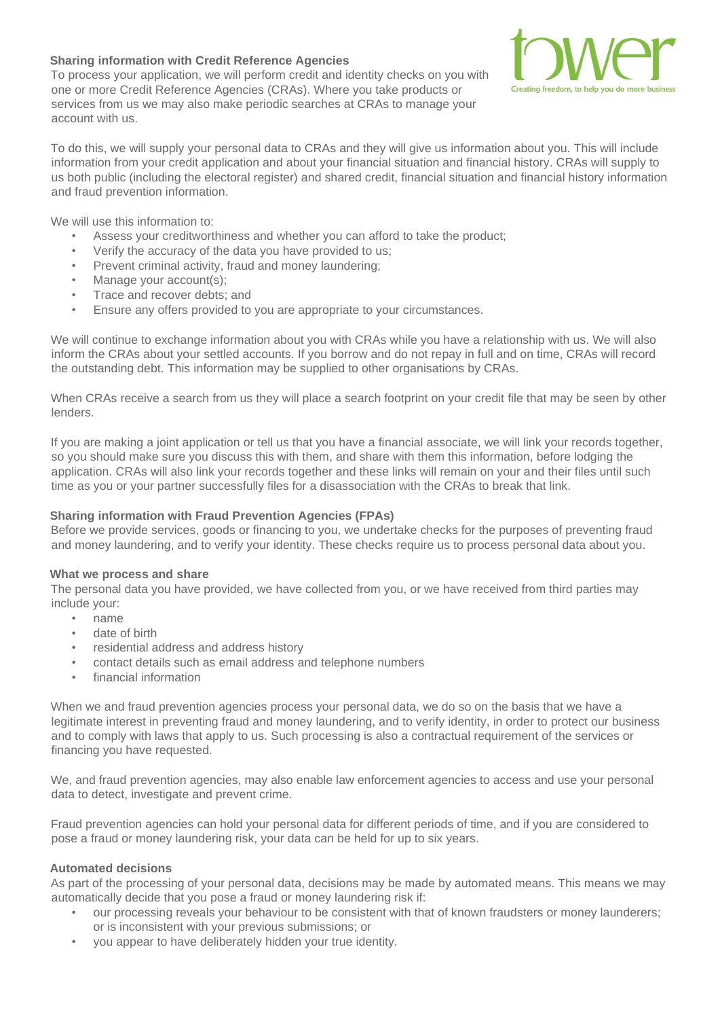## **Sharing information with Credit Reference Agencies**

To process your application, we will perform credit and identity checks on you with one or more Credit Reference Agencies (CRAs). Where you take products or services from us we may also make periodic searches at CRAs to manage your account with us.



To do this, we will supply your personal data to CRAs and they will give us information about you. This will include information from your credit application and about your financial situation and financial history. CRAs will supply to us both public (including the electoral register) and shared credit, financial situation and financial history information and fraud prevention information.

We will use this information to:

- Assess your creditworthiness and whether you can afford to take the product;
- Verify the accuracy of the data you have provided to us;
- Prevent criminal activity, fraud and money laundering;
- Manage your account(s);
- Trace and recover debts; and
- Ensure any offers provided to you are appropriate to your circumstances.

We will continue to exchange information about you with CRAs while you have a relationship with us. We will also inform the CRAs about your settled accounts. If you borrow and do not repay in full and on time, CRAs will record the outstanding debt. This information may be supplied to other organisations by CRAs.

When CRAs receive a search from us they will place a search footprint on your credit file that may be seen by other lenders.

If you are making a joint application or tell us that you have a financial associate, we will link your records together, so you should make sure you discuss this with them, and share with them this information, before lodging the application. CRAs will also link your records together and these links will remain on your and their files until such time as you or your partner successfully files for a disassociation with the CRAs to break that link.

#### **Sharing information with Fraud Prevention Agencies (FPAs)**

Before we provide services, goods or financing to you, we undertake checks for the purposes of preventing fraud and money laundering, and to verify your identity. These checks require us to process personal data about you.

#### **What we process and share**

The personal data you have provided, we have collected from you, or we have received from third parties may include your:

- name
- date of birth
- residential address and address history
- contact details such as email address and telephone numbers
- financial information

When we and fraud prevention agencies process your personal data, we do so on the basis that we have a legitimate interest in preventing fraud and money laundering, and to verify identity, in order to protect our business and to comply with laws that apply to us. Such processing is also a contractual requirement of the services or financing you have requested.

We, and fraud prevention agencies, may also enable law enforcement agencies to access and use your personal data to detect, investigate and prevent crime.

Fraud prevention agencies can hold your personal data for different periods of time, and if you are considered to pose a fraud or money laundering risk, your data can be held for up to six years.

## **Automated decisions**

As part of the processing of your personal data, decisions may be made by automated means. This means we may automatically decide that you pose a fraud or money laundering risk if:

- our processing reveals your behaviour to be consistent with that of known fraudsters or money launderers; or is inconsistent with your previous submissions; or
- you appear to have deliberately hidden your true identity.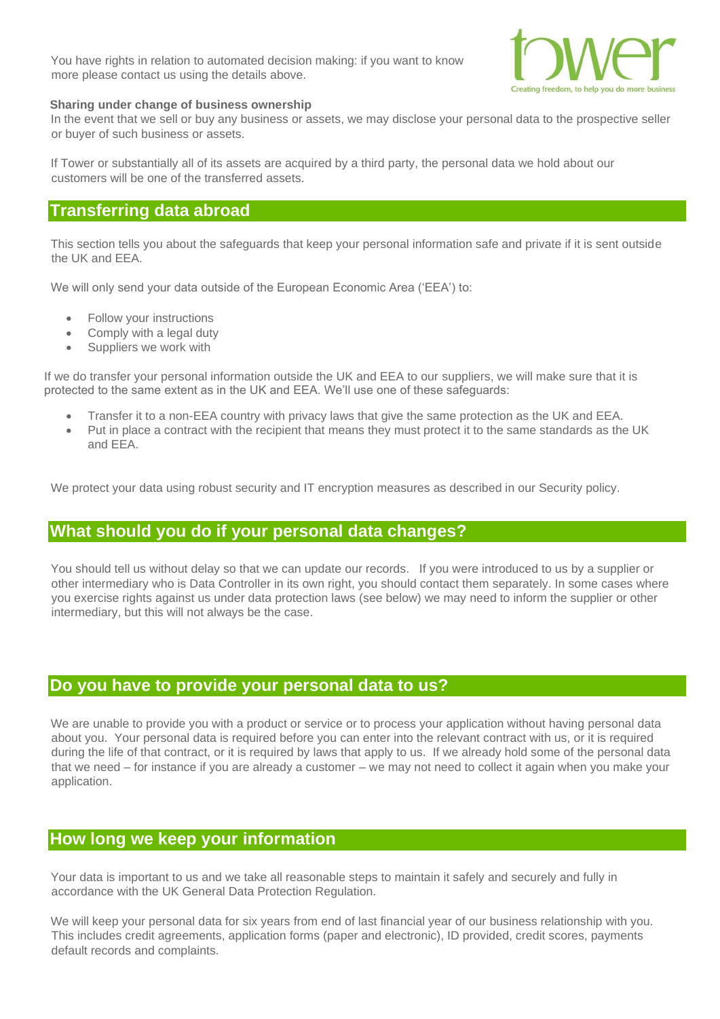You have rights in relation to automated decision making: if you want to know more please contact us using the details above.



#### **Sharing under change of business ownership**

In the event that we sell or buy any business or assets, we may disclose your personal data to the prospective seller or buyer of such business or assets.

If Tower or substantially all of its assets are acquired by a third party, the personal data we hold about our customers will be one of the transferred assets.

## **Transferring data abroad**

This section tells you about the safeguards that keep your personal information safe and private if it is sent outside the UK and EEA.

We will only send your data outside of the European Economic Area ('EEA') to:

- Follow your instructions
- Comply with a legal duty
- Suppliers we work with

If we do transfer your personal information outside the UK and EEA to our suppliers, we will make sure that it is protected to the same extent as in the UK and EEA. We'll use one of these safeguards:

- Transfer it to a non-EEA country with privacy laws that give the same protection as the UK and EEA.
- Put in place a contract with the recipient that means they must protect it to the same standards as the UK and EEA.

We protect your data using robust security and IT encryption measures as described in our Security policy.

## **What should you do if your personal data changes?**

You should tell us without delay so that we can update our records. If you were introduced to us by a supplier or other intermediary who is Data Controller in its own right, you should contact them separately. In some cases where you exercise rights against us under data protection laws (see below) we may need to inform the supplier or other intermediary, but this will not always be the case.

## **Do you have to provide your personal data to us?**

We are unable to provide you with a product or service or to process your application without having personal data about you. Your personal data is required before you can enter into the relevant contract with us, or it is required during the life of that contract, or it is required by laws that apply to us. If we already hold some of the personal data that we need – for instance if you are already a customer – we may not need to collect it again when you make your application.

## **How long we keep your information**

Your data is important to us and we take all reasonable steps to maintain it safely and securely and fully in accordance with the UK General Data Protection Regulation.

We will keep your personal data for six years from end of last financial year of our business relationship with you. This includes credit agreements, application forms (paper and electronic), ID provided, credit scores, payments default records and complaints.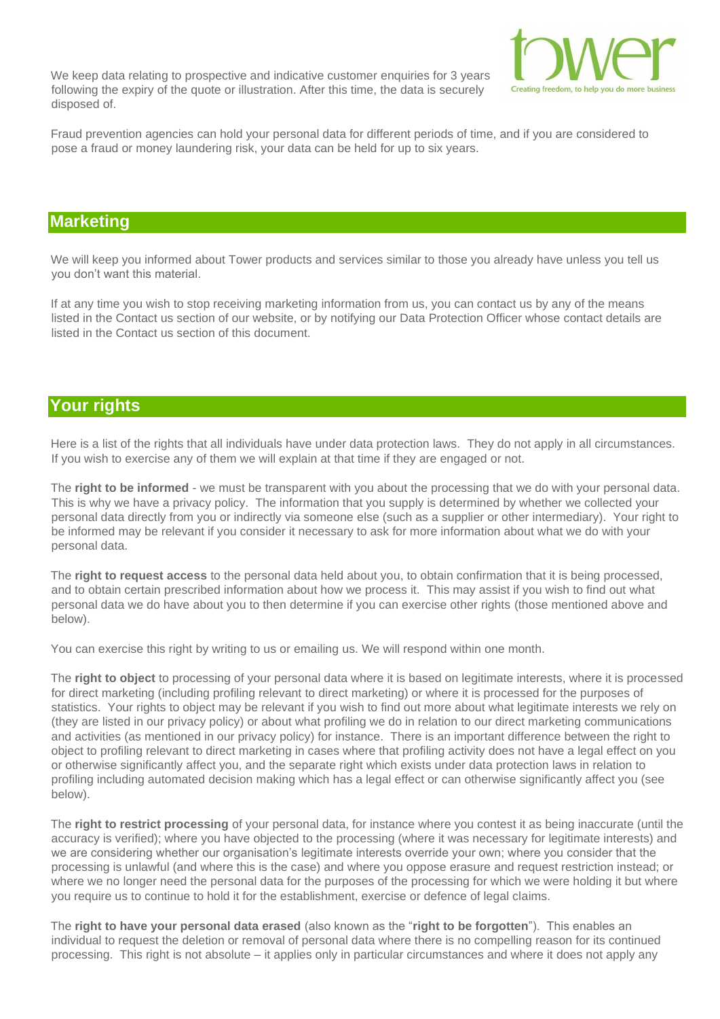We keep data relating to prospective and indicative customer enquiries for 3 years following the expiry of the quote or illustration. After this time, the data is securely disposed of.



Fraud prevention agencies can hold your personal data for different periods of time, and if you are considered to pose a fraud or money laundering risk, your data can be held for up to six years.

## **Marketing**

We will keep you informed about Tower products and services similar to those you already have unless you tell us you don't want this material.

If at any time you wish to stop receiving marketing information from us, you can contact us by any of the means listed in the Contact us section of our website, or by notifying our Data Protection Officer whose contact details are listed in the Contact us section of this document.

## **Your rights**

Here is a list of the rights that all individuals have under data protection laws. They do not apply in all circumstances. If you wish to exercise any of them we will explain at that time if they are engaged or not.

The **right to be informed** - we must be transparent with you about the processing that we do with your personal data. This is why we have a privacy policy. The information that you supply is determined by whether we collected your personal data directly from you or indirectly via someone else (such as a supplier or other intermediary). Your right to be informed may be relevant if you consider it necessary to ask for more information about what we do with your personal data.

The **right to request access** to the personal data held about you, to obtain confirmation that it is being processed, and to obtain certain prescribed information about how we process it. This may assist if you wish to find out what personal data we do have about you to then determine if you can exercise other rights (those mentioned above and below).

You can exercise this right by writing to us or emailing us. We will respond within one month.

The **right to object** to processing of your personal data where it is based on legitimate interests, where it is processed for direct marketing (including profiling relevant to direct marketing) or where it is processed for the purposes of statistics. Your rights to object may be relevant if you wish to find out more about what legitimate interests we rely on (they are listed in our privacy policy) or about what profiling we do in relation to our direct marketing communications and activities (as mentioned in our privacy policy) for instance. There is an important difference between the right to object to profiling relevant to direct marketing in cases where that profiling activity does not have a legal effect on you or otherwise significantly affect you, and the separate right which exists under data protection laws in relation to profiling including automated decision making which has a legal effect or can otherwise significantly affect you (see below).

The **right to restrict processing** of your personal data, for instance where you contest it as being inaccurate (until the accuracy is verified); where you have objected to the processing (where it was necessary for legitimate interests) and we are considering whether our organisation's legitimate interests override your own; where you consider that the processing is unlawful (and where this is the case) and where you oppose erasure and request restriction instead; or where we no longer need the personal data for the purposes of the processing for which we were holding it but where you require us to continue to hold it for the establishment, exercise or defence of legal claims.

The **right to have your personal data erased** (also known as the "**right to be forgotten**"). This enables an individual to request the deletion or removal of personal data where there is no compelling reason for its continued processing. This right is not absolute – it applies only in particular circumstances and where it does not apply any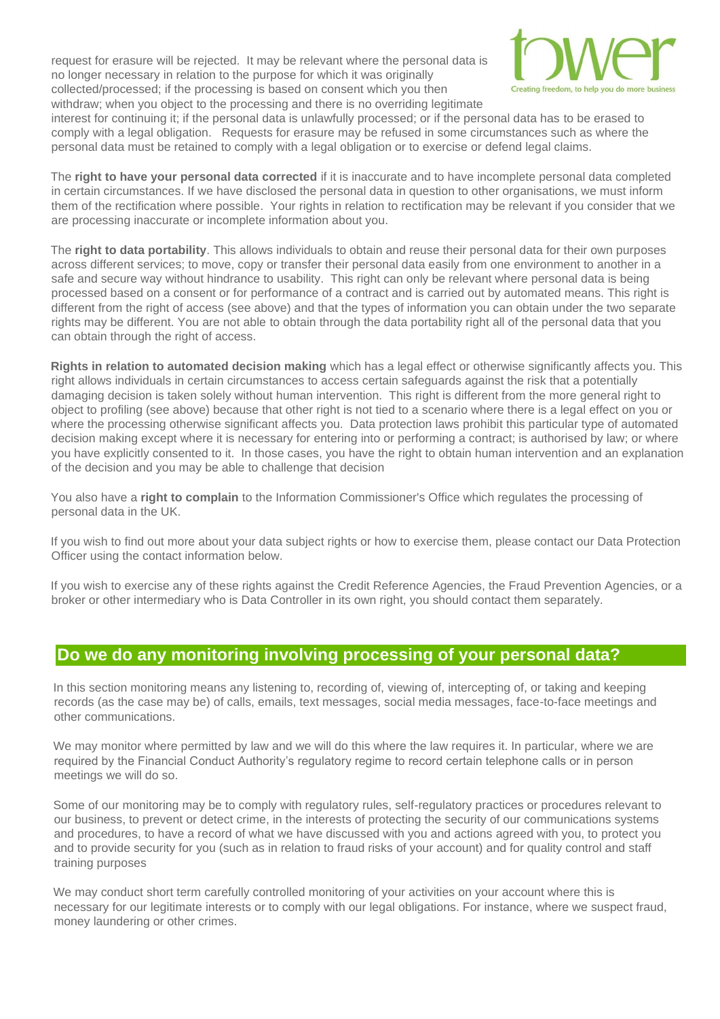request for erasure will be rejected. It may be relevant where the personal data is no longer necessary in relation to the purpose for which it was originally collected/processed; if the processing is based on consent which you then withdraw; when you object to the processing and there is no overriding legitimate



interest for continuing it; if the personal data is unlawfully processed; or if the personal data has to be erased to comply with a legal obligation. Requests for erasure may be refused in some circumstances such as where the personal data must be retained to comply with a legal obligation or to exercise or defend legal claims.

The **right to have your personal data corrected** if it is inaccurate and to have incomplete personal data completed in certain circumstances. If we have disclosed the personal data in question to other organisations, we must inform them of the rectification where possible. Your rights in relation to rectification may be relevant if you consider that we are processing inaccurate or incomplete information about you.

The **right to data portability**. This allows individuals to obtain and reuse their personal data for their own purposes across different services; to move, copy or transfer their personal data easily from one environment to another in a safe and secure way without hindrance to usability. This right can only be relevant where personal data is being processed based on a consent or for performance of a contract and is carried out by automated means. This right is different from the right of access (see above) and that the types of information you can obtain under the two separate rights may be different. You are not able to obtain through the data portability right all of the personal data that you can obtain through the right of access.

**Rights in relation to automated decision making** which has a legal effect or otherwise significantly affects you. This right allows individuals in certain circumstances to access certain safeguards against the risk that a potentially damaging decision is taken solely without human intervention. This right is different from the more general right to object to profiling (see above) because that other right is not tied to a scenario where there is a legal effect on you or where the processing otherwise significant affects you. Data protection laws prohibit this particular type of automated decision making except where it is necessary for entering into or performing a contract; is authorised by law; or where you have explicitly consented to it. In those cases, you have the right to obtain human intervention and an explanation of the decision and you may be able to challenge that decision

You also have a **right to complain** to the Information Commissioner's Office which regulates the processing of personal data in the UK.

If you wish to find out more about your data subject rights or how to exercise them, please contact our Data Protection Officer using the contact information below.

If you wish to exercise any of these rights against the Credit Reference Agencies, the Fraud Prevention Agencies, or a broker or other intermediary who is Data Controller in its own right, you should contact them separately.

## **Do we do any monitoring involving processing of your personal data?**

In this section monitoring means any listening to, recording of, viewing of, intercepting of, or taking and keeping records (as the case may be) of calls, emails, text messages, social media messages, face-to-face meetings and other communications.

We may monitor where permitted by law and we will do this where the law requires it. In particular, where we are required by the Financial Conduct Authority's regulatory regime to record certain telephone calls or in person meetings we will do so.

Some of our monitoring may be to comply with regulatory rules, self-regulatory practices or procedures relevant to our business, to prevent or detect crime, in the interests of protecting the security of our communications systems and procedures, to have a record of what we have discussed with you and actions agreed with you, to protect you and to provide security for you (such as in relation to fraud risks of your account) and for quality control and staff training purposes

We may conduct short term carefully controlled monitoring of your activities on your account where this is necessary for our legitimate interests or to comply with our legal obligations. For instance, where we suspect fraud, money laundering or other crimes.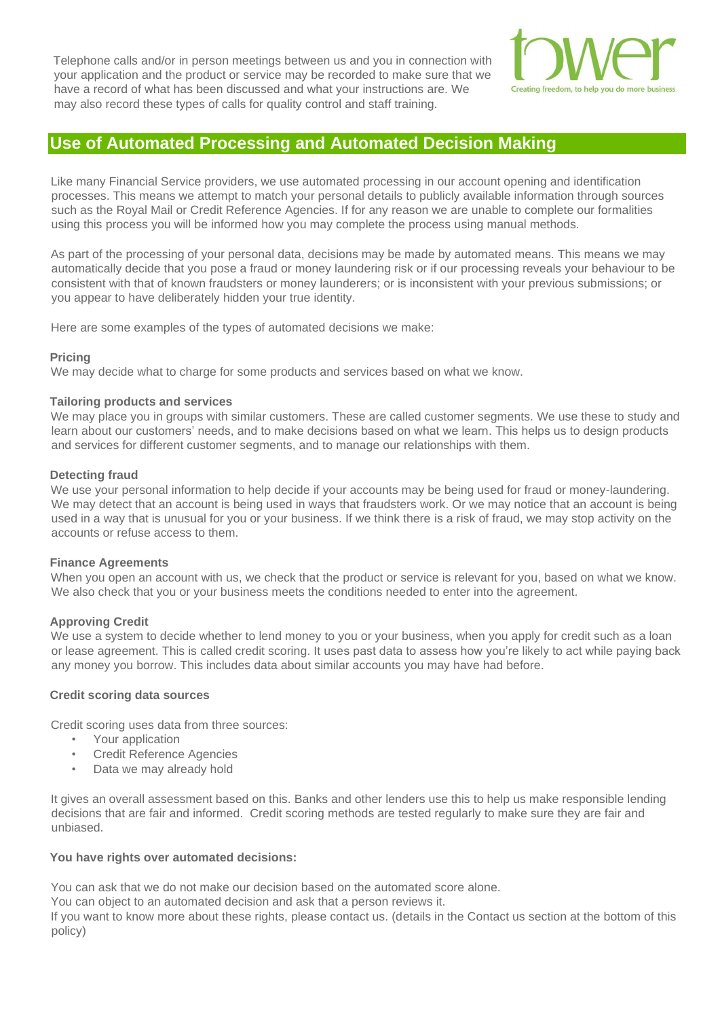Telephone calls and/or in person meetings between us and you in connection with your application and the product or service may be recorded to make sure that we have a record of what has been discussed and what your instructions are. We may also record these types of calls for quality control and staff training.



## **Use of Automated Processing and Automated Decision Making**

Like many Financial Service providers, we use automated processing in our account opening and identification processes. This means we attempt to match your personal details to publicly available information through sources such as the Royal Mail or Credit Reference Agencies. If for any reason we are unable to complete our formalities using this process you will be informed how you may complete the process using manual methods.

As part of the processing of your personal data, decisions may be made by automated means. This means we may automatically decide that you pose a fraud or money laundering risk or if our processing reveals your behaviour to be consistent with that of known fraudsters or money launderers; or is inconsistent with your previous submissions; or you appear to have deliberately hidden your true identity.

Here are some examples of the types of automated decisions we make:

## **Pricing**

We may decide what to charge for some products and services based on what we know.

#### **Tailoring products and services**

We may place you in groups with similar customers. These are called customer segments. We use these to study and learn about our customers' needs, and to make decisions based on what we learn. This helps us to design products and services for different customer segments, and to manage our relationships with them.

#### **Detecting fraud**

We use your personal information to help decide if your accounts may be being used for fraud or money-laundering. We may detect that an account is being used in ways that fraudsters work. Or we may notice that an account is being used in a way that is unusual for you or your business. If we think there is a risk of fraud, we may stop activity on the accounts or refuse access to them.

#### **Finance Agreements**

When you open an account with us, we check that the product or service is relevant for you, based on what we know. We also check that you or your business meets the conditions needed to enter into the agreement.

## **Approving Credit**

We use a system to decide whether to lend money to you or your business, when you apply for credit such as a loan or lease agreement. This is called credit scoring. It uses past data to assess how you're likely to act while paying back any money you borrow. This includes data about similar accounts you may have had before.

## **Credit scoring data sources**

Credit scoring uses data from three sources:

- Your application
- Credit Reference Agencies
- Data we may already hold

It gives an overall assessment based on this. Banks and other lenders use this to help us make responsible lending decisions that are fair and informed. Credit scoring methods are tested regularly to make sure they are fair and unbiased.

## **You have rights over automated decisions:**

You can ask that we do not make our decision based on the automated score alone.

You can object to an automated decision and ask that a person reviews it.

If you want to know more about these rights, please contact us. (details in the Contact us section at the bottom of this policy)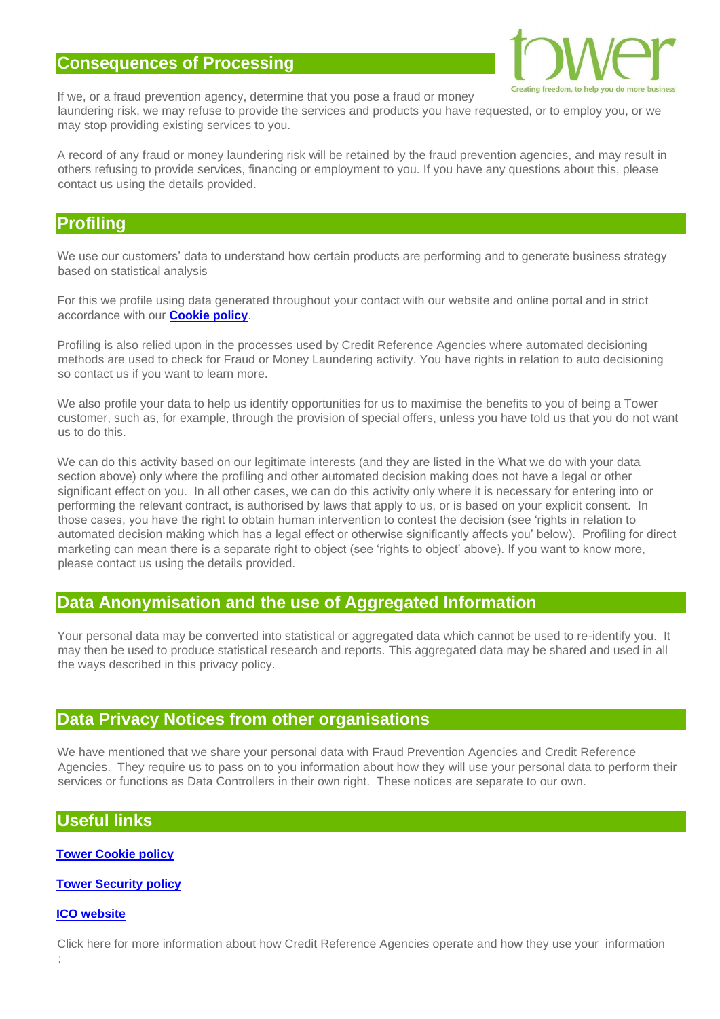## **Consequences of Processing**



If we, or a fraud prevention agency, determine that you pose a fraud or money laundering risk, we may refuse to provide the services and products you have requested, or to employ you, or we

may stop providing existing services to you.

A record of any fraud or money laundering risk will be retained by the fraud prevention agencies, and may result in others refusing to provide services, financing or employment to you. If you have any questions about this, please contact us using the details provided.

## **Profiling**

We use our customers' data to understand how certain products are performing and to generate business strategy based on statistical analysis

For this we profile using data generated throughout your contact with our website and online portal and in strict accordance with our **[Cookie policy](http://www.towerleasing.co.uk/cookie-policy/)**[.](http://www.towerleasing.co.uk/cookie-policy/)

Profiling is also relied upon in the processes used by Credit Reference Agencies where automated decisioning methods are used to check for Fraud or Money Laundering activity. You have rights in relation to auto decisioning so contact us if you want to learn more.

We also profile your data to help us identify opportunities for us to maximise the benefits to you of being a Tower customer, such as, for example, through the provision of special offers, unless you have told us that you do not want us to do this.

We can do this activity based on our legitimate interests (and they are listed in the What we do with your data section above) only where the profiling and other automated decision making does not have a legal or other significant effect on you. In all other cases, we can do this activity only where it is necessary for entering into or performing the relevant contract, is authorised by laws that apply to us, or is based on your explicit consent. In those cases, you have the right to obtain human intervention to contest the decision (see 'rights in relation to automated decision making which has a legal effect or otherwise significantly affects you' below). Profiling for direct marketing can mean there is a separate right to object (see 'rights to object' above). If you want to know more, please contact us using the details provided.

# **Data Anonymisation and the use of Aggregated Information**

Your personal data may be converted into statistical or aggregated data which cannot be used to re-identify you. It may then be used to produce statistical research and reports. This aggregated data may be shared and used in all the ways described in this privacy policy.

## **Data Privacy Notices from other organisations**

We have mentioned that we share your personal data with Fraud Prevention Agencies and Credit Reference Agencies. They require us to pass on to you information about how they will use your personal data to perform their services or functions as Data Controllers in their own right. These notices are separate to our own.

## **Useful links**

**[Tower Cookie policy](http://www.towerleasing.co.uk/cookie-policy/)**

**[Tower Security policy](http://www.towerleasing.co.uk/security-policy/)**

## **[ICO website](https://ico.org.uk/for-organisations/guide-to-the-general-data-protection-regulation-gdpr/lawful-basis-for-processing/consent/)**

:

Click here for more information about how Credit Reference Agencies operate and how they use your information